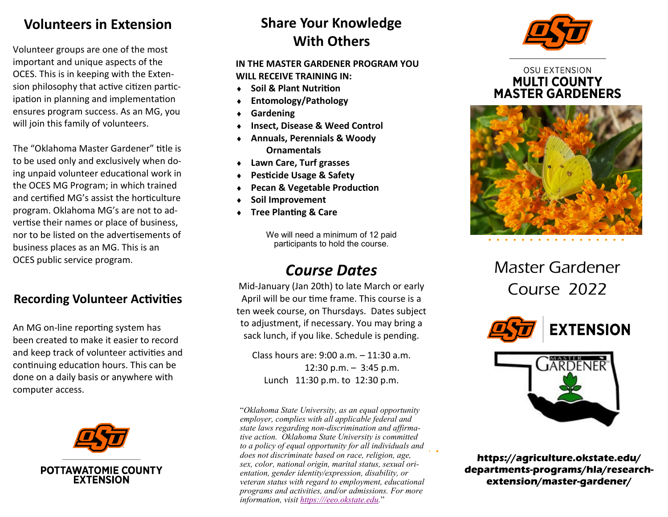## **Volunteers in Extension**

Volunteer groups are one of the most important and unique aspects of the OCES. This is in keeping with the Extension philosophy that active citizen partic ipation in planning and implementation ensures program success. As an MG, you will join this family of volunteers.

The "Oklahoma Master Gardener" title is to be used only and exclusively when doing unpaid volunteer educational work in the OCES MG Program; in which trained and certified MG 's assist the horticulture program. Oklahoma MG 's are not to advertise their names or place of business, nor to be listed on the advertisements of business places as an MG. This is an OCES public service program.

## **Recording Volunteer Activities**

An MG on -line reporting system has been created to make it easier to record and keep track of volunteer activities and continuing education hours. This can be done on a daily basis or anywhere with computer access.



# **Share Your Knowledge With Others**

#### **IN THE MASTER GARDENER PROGRAM YOU WILL RECEIVE TRAINING IN:**

- **Soil & Plant Nutrition**
- **Entomology/Pathology**
- **Gardening**
- **Insect, Disease & Weed Control**
- **Annuals, Perennials & Woody Ornamentals**
- **Lawn Care, Turf grasses**
- **Pesticide Usage & Safety**
- **Pecan & Vegetable Production**
- **Soil Improvement**
- **Tree Planting & Care**

We will need a minimum of 12 paid participants to hold the course.

# *Course Dates*

Mid -January (Jan 20th) to late March or early April will be our time frame. This course is a ten week course, on Thursdays. Dates subject to adjustment, if necessary. You may bring a sack lunch, if you like. Schedule is pending.

Class hours are: 9:00 a.m. – 11:30 a.m. 12:30 p.m. – 3:45 p.m. Lunch 11:30 p.m. to 12:30 p.m.

"*Oklahoma State University, as an equal opportunity employer, complies with all applicable federal and state laws regarding non -discrimination and affirmative action. Oklahoma State University is committed to a policy of equal opportunity for all individuals and does not discriminate based on race, religion, age, sex, color, national origin, marital status, sexual orientation, gender identity/expression, disability, or veteran status with regard to employment, educational programs and activities, and/or admissions. For more information, visit [https:///eeo.okstate.edu.](https://eeo.okstate.edu/)*"



### **OSU EXTENSION MULTI COUNTY MASTER GARDENERS**



Master Gardener Course 2022





https://agriculture.okstate.edu/ departments-programs/hla/researchextension/master-gardener/